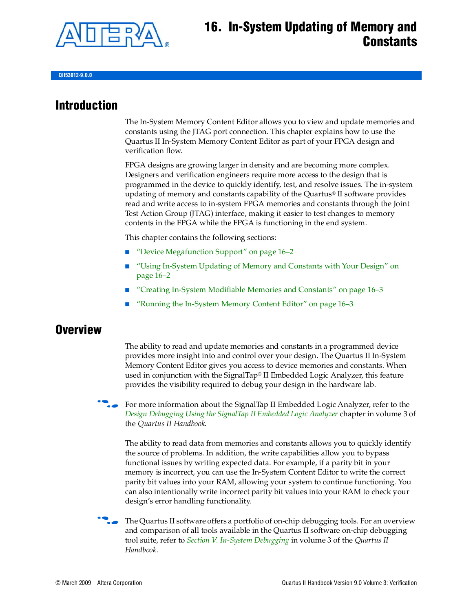

## **16. In-System Updating of Memory and Constants**

**QII53012-9.0.0**

### **Introduction**

The In-System Memory Content Editor allows you to view and update memories and constants using the JTAG port connection. This chapter explains how to use the Quartus II In-System Memory Content Editor as part of your FPGA design and verification flow.

FPGA designs are growing larger in density and are becoming more complex. Designers and verification engineers require more access to the design that is programmed in the device to quickly identify, test, and resolve issues. The in-system updating of memory and constants capability of the Quartus® II software provides read and write access to in-system FPGA memories and constants through the Joint Test Action Group (JTAG) interface, making it easier to test changes to memory contents in the FPGA while the FPGA is functioning in the end system.

This chapter contains the following sections:

- ["Device Megafunction Support" on page 16–2](#page-1-0)
- "Using In-System Updating of Memory and Constants with Your Design" on [page 16–2](#page-1-1)
- ["Creating In-System Modifiable Memories and Constants" on page 16–3](#page-2-0)
- ["Running the In-System Memory Content Editor" on page 16–3](#page-2-1)

### **Overview**

The ability to read and update memories and constants in a programmed device provides more insight into and control over your design. The Quartus II In-System Memory Content Editor gives you access to device memories and constants. When used in conjunction with the SignalTap® II Embedded Logic Analyzer, this feature provides the visibility required to debug your design in the hardware lab.

For more information about the SignalTap II Embedded Logic Analyzer, refer to the *[Design Debugging Using the SignalTap II Embedded Logic Analyzer](http://www.altera.com/literature/hb/qts/qts_qii53009.pdf)* chapter in volume 3 of the *Quartus II Handbook*.

The ability to read data from memories and constants allows you to quickly identify the source of problems. In addition, the write capabilities allow you to bypass functional issues by writing expected data. For example, if a parity bit in your memory is incorrect, you can use the In-System Content Editor to write the correct parity bit values into your RAM, allowing your system to continue functioning. You can also intentionally write incorrect parity bit values into your RAM to check your design's error handling functionality.

f The Quartus II software offers a portfolio of on-chip debugging tools. For an overview and comparison of all tools available in the Quartus II software on-chip debugging tool suite, refer to *[Section V. In-System Debugging](http://www.altera.com/literature/hb/qts/qts_qii5v3_05.pdf)* in volume 3 of the *Quartus II Handbook*.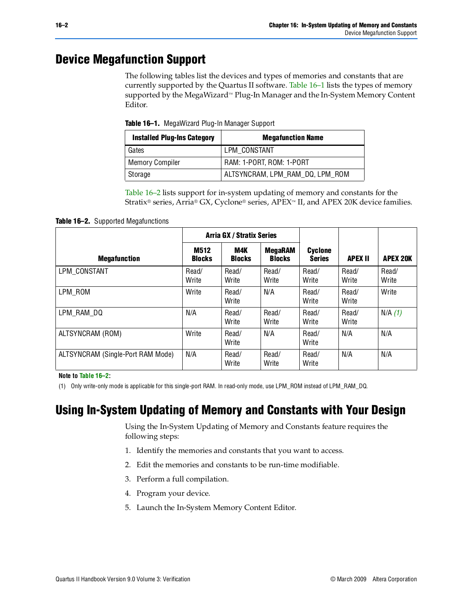## <span id="page-1-0"></span>**Device Megafunction Support**

The following tables list the devices and types of memories and constants that are currently supported by the Quartus II software. [Table 16–1](#page-1-2) lists the types of memory supported by the MegaWizard™ Plug-In Manager and the In-System Memory Content Editor.

<span id="page-1-2"></span>**Table 16–1.** MegaWizard Plug-In Manager Support

| <b>Installed Plug-Ins Category</b> | <b>Megafunction Name</b>        |
|------------------------------------|---------------------------------|
| Gates                              | LPM CONSTANT                    |
| Memory Compiler                    | RAM: 1-PORT, ROM: 1-PORT        |
| Storage                            | ALTSYNCRAM, LPM_RAM_DQ, LPM_ROM |

[Table 16–2](#page-1-3) lists support for in-system updating of memory and constants for the Stratix® series, Arria® GX, Cyclone® series, APEX™ II, and APEX 20K device families.

<span id="page-1-3"></span>**Table 16–2.** Supported Megafunctions

|                                   |                              | <b>Arria GX / Stratix Series</b> |                                 |                                 |                |                 |
|-----------------------------------|------------------------------|----------------------------------|---------------------------------|---------------------------------|----------------|-----------------|
| <b>Megafunction</b>               | <b>M512</b><br><b>Blocks</b> | M4K<br><b>Blocks</b>             | <b>MegaRAM</b><br><b>Blocks</b> | <b>Cyclone</b><br><b>Series</b> | <b>APEX II</b> | <b>APEX 20K</b> |
| LPM CONSTANT                      | Read/<br>Write               | Read/<br>Write                   | Read/<br>Write                  | Read/<br>Write                  | Read/<br>Write | Read/<br>Write  |
| LPM ROM                           | Write                        | Read/<br>Write                   | N/A                             | Read/<br>Write                  | Read/<br>Write | Write           |
| LPM RAM DQ                        | N/A                          | Read/<br>Write                   | Read/<br>Write                  | Read/<br>Write                  | Read/<br>Write | N/A(1)          |
| ALTSYNCRAM (ROM)                  | Write                        | Read/<br>Write                   | N/A                             | Read/<br>Write                  | N/A            | N/A             |
| ALTSYNCRAM (Single-Port RAM Mode) | N/A                          | Read/<br>Write                   | Read/<br>Write                  | Read/<br>Write                  | N/A            | N/A             |

**Note to [Table 16–2](#page-1-3):**

<span id="page-1-4"></span>(1) Only write-only mode is applicable for this single-port RAM. In read-only mode, use LPM\_ROM instead of LPM\_RAM\_DQ.

### <span id="page-1-1"></span>**Using In-System Updating of Memory and Constants with Your Design**

Using the In-System Updating of Memory and Constants feature requires the following steps:

- 1. Identify the memories and constants that you want to access.
- 2. Edit the memories and constants to be run-time modifiable.
- 3. Perform a full compilation.
- 4. Program your device.
- 5. Launch the In-System Memory Content Editor.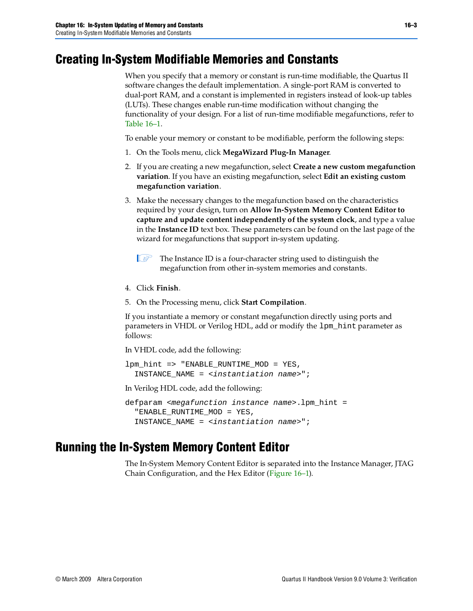### <span id="page-2-0"></span>**Creating In-System Modifiable Memories and Constants**

When you specify that a memory or constant is run-time modifiable, the Quartus II software changes the default implementation. A single-port RAM is converted to dual-port RAM, and a constant is implemented in registers instead of look-up tables (LUTs). These changes enable run-time modification without changing the functionality of your design. For a list of run-time modifiable megafunctions, refer to [Table 16–1](#page-1-2).

To enable your memory or constant to be modifiable, perform the following steps:

- 1. On the Tools menu, click **MegaWizard Plug-In Manager**.
- 2. If you are creating a new megafunction, select **Create a new custom megafunction variation**. If you have an existing megafunction, select **Edit an existing custom megafunction variation**.
- 3. Make the necessary changes to the megafunction based on the characteristics required by your design, turn on **Allow In-System Memory Content Editor to capture and update content independently of the system clock**, and type a value in the **Instance ID** text box. These parameters can be found on the last page of the wizard for megafunctions that support in-system updating.
	- The Instance ID is a four-character string used to distinguish the megafunction from other in-system memories and constants.
- 4. Click **Finish**.
- 5. On the Processing menu, click **Start Compilation**.

If you instantiate a memory or constant megafunction directly using ports and parameters in VHDL or Verilog HDL, add or modify the lpm\_hint parameter as follows:

In VHDL code, add the following:

lpm\_hint => "ENABLE\_RUNTIME\_MOD = YES, INSTANCE\_NAME = *<instantiation name>*";

In Verilog HDL code, add the following:

```
defparam <megafunction instance name>.lpm_hint =
  "ENABLE_RUNTIME_MOD = YES, 
  INSTANCE_NAME = <instantiation name>";
```
### <span id="page-2-1"></span>**Running the In-System Memory Content Editor**

The In-System Memory Content Editor is separated into the Instance Manager, JTAG Chain Configuration, and the Hex Editor ([Figure 16–1](#page-3-0)).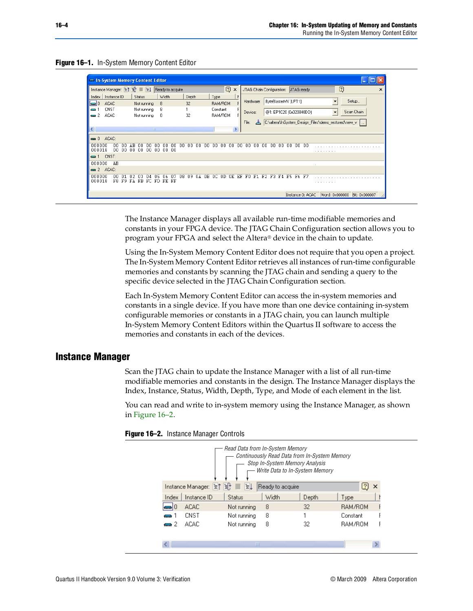#### <span id="page-3-0"></span>**Figure 16–1.** In-System Memory Content Editor

|                              | In-System Memory Content Editor             |       |    |               |     |                 |          |     |     |       |     |     |          |         |          |    |                                      |     |                      |     |     |                      |       |                         |   |                          |                                                     |            |   |
|------------------------------|---------------------------------------------|-------|----|---------------|-----|-----------------|----------|-----|-----|-------|-----|-----|----------|---------|----------|----|--------------------------------------|-----|----------------------|-----|-----|----------------------|-------|-------------------------|---|--------------------------|-----------------------------------------------------|------------|---|
|                              | Instance Manager: 宮门 日 国 旦 Ready to acquire |       |    |               |     |                 |          |     |     |       |     |     |          | Ø       | $\times$ |    | JTAG Chain Configuration: JTAG ready |     |                      |     |     |                      |       |                         |   |                          | $\overline{\mathbf{c}}$                             |            | × |
| Index                        | Instance ID                                 |       |    | <b>Status</b> |     |                 | Width    |     |     | Depth |     |     | Type     |         |          |    |                                      |     |                      |     |     |                      |       |                         |   |                          |                                                     |            |   |
| $\blacksquare$               | <b>ACAC</b>                                 |       |    | Not running   |     | 8               |          |     |     | 32    |     |     |          | RAM/ROM |          |    | Hardware:                            |     |                      |     |     | ByteBlasterMV [LPT1] |       |                         |   |                          |                                                     | Setup      |   |
| -                            | CNST                                        |       |    | Not running   |     | 8               |          |     |     |       |     |     | Constant |         |          |    | Device:                              |     |                      |     |     |                      |       | @1: EP1C20 (0x020840DD) |   | $\overline{\phantom{a}}$ |                                                     | Scan Chain |   |
| $\rightarrow$ 2              | <b>ACAC</b>                                 |       |    | Not running   |     | 8               |          |     |     | 32    |     |     |          | RAM/ROM |          |    |                                      |     |                      |     |     |                      |       |                         |   |                          |                                                     |            |   |
|                              |                                             |       |    |               |     |                 |          |     |     |       |     |     |          |         |          |    | File:                                |     |                      |     |     |                      |       |                         |   |                          | C:\altera\InSystem_Design_Files\demo_restored\new_v |            |   |
| $\left\langle \right\rangle$ |                                             |       |    |               |     | <b>TILL</b>     |          |     |     |       |     |     |          |         | ⋗        |    |                                      |     |                      |     |     |                      |       |                         |   |                          |                                                     |            |   |
|                              | $\implies$ 0 ACAC:                          |       |    |               |     |                 |          |     |     |       |     |     |          |         |          |    |                                      |     |                      |     |     |                      |       |                         |   |                          |                                                     |            |   |
| 000000<br>000018             | nn<br>00                                    | 00    | 00 | 00            | 00  | 00 <sub>1</sub> | 00 00    | .nn | nn  | nn    | nn. | .nn | .nn      | 00      | nn       | 00 | -nn                                  | 00. | 00                   | -00 | -00 | .nn                  | 00 OO |                         |   |                          |                                                     |            |   |
| $\blacksquare$ 1             | CNST:                                       |       |    |               |     |                 |          |     |     |       |     |     |          |         |          |    |                                      |     |                      |     |     |                      |       |                         | . |                          |                                                     |            |   |
| 000000                       | AB                                          |       |    |               |     |                 |          |     |     |       |     |     |          |         |          |    |                                      |     |                      |     |     |                      |       |                         |   |                          |                                                     |            |   |
|                              | $\implies$ 2 ACAC:                          |       |    |               |     |                 |          |     |     |       |     |     |          |         |          |    |                                      |     |                      |     |     |                      |       |                         |   |                          |                                                     |            |   |
| 000000<br>000018             | nr                                          | F8 F9 | FA | FB.           | FC. |                 | FD FE FF |     | ns. | n9    | 0 A | 0B. | 0C       | 0D.     | 0E.      | EF | E0.                                  |     | F1 F2 F3 F4 F5 F6 F7 |     |     |                      |       |                         | . |                          |                                                     |            |   |
|                              |                                             |       |    |               |     |                 |          |     |     |       |     |     |          |         |          |    |                                      |     |                      |     |     |                      |       | Instance 0: ACAC        |   |                          | Word: 0x000000 Bit: 0x000007                        |            |   |

The Instance Manager displays all available run-time modifiable memories and constants in your FPGA device. The JTAG Chain Configuration section allows you to program your FPGA and select the Altera® device in the chain to update.

Using the In-System Memory Content Editor does not require that you open a project. The In-System Memory Content Editor retrieves all instances of run-time configurable memories and constants by scanning the JTAG chain and sending a query to the specific device selected in the JTAG Chain Configuration section.

Each In-System Memory Content Editor can access the in-system memories and constants in a single device. If you have more than one device containing in-system configurable memories or constants in a JTAG chain, you can launch multiple In-System Memory Content Editors within the Quartus II software to access the memories and constants in each of the devices.

### **Instance Manager**

Scan the JTAG chain to update the Instance Manager with a list of all run-time modifiable memories and constants in the design. The Instance Manager displays the Index, Instance, Status, Width, Depth, Type, and Mode of each element in the list.

You can read and write to in-system memory using the Instance Manager, as shown in [Figure 16–2](#page-3-1).



<span id="page-3-1"></span>**Figure 16–2.** Instance Manager Controls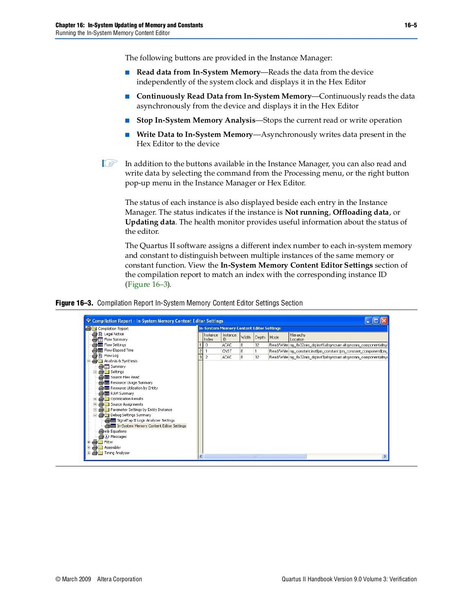The following buttons are provided in the Instance Manager:

- **Read data from In-System Memory—Reads the data from the device** independently of the system clock and displays it in the Hex Editor
- **Continuously Read Data from In-System Memory**—Continuously reads the data asynchronously from the device and displays it in the Hex Editor
- **Stop In-System Memory Analysis—Stops the current read or write operation**
- Write Data to In-System Memory—Asynchronously writes data present in the Hex Editor to the device

 $\mathbb{I}$  In addition to the buttons available in the Instance Manager, you can also read and write data by selecting the command from the Processing menu, or the right button pop-up menu in the Instance Manager or Hex Editor.

The status of each instance is also displayed beside each entry in the Instance Manager. The status indicates if the instance is **Not running**, **Offloading data**, or **Updating data**. The health monitor provides useful information about the status of the editor.

The Quartus II software assigns a different index number to each in-system memory and constant to distinguish between multiple instances of the same memory or constant function. View the **In-System Memory Content Editor Settings** section of the compilation report to match an index with the corresponding instance ID ([Figure 16–3](#page-4-0)).

<span id="page-4-0"></span>**Figure 16–3.** Compilation Report In-System Memory Content Editor Settings Section

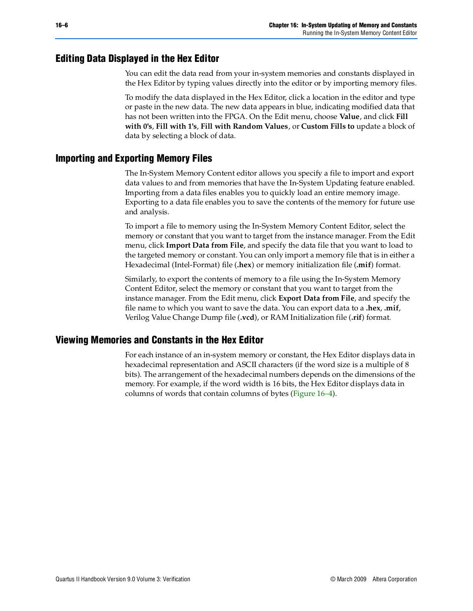### **Editing Data Displayed in the Hex Editor**

You can edit the data read from your in-system memories and constants displayed in the Hex Editor by typing values directly into the editor or by importing memory files.

To modify the data displayed in the Hex Editor, click a location in the editor and type or paste in the new data. The new data appears in blue, indicating modified data that has not been written into the FPGA. On the Edit menu, choose **Value**, and click **Fill with 0's**, **Fill with 1's**, **Fill with Random Values**, or **Custom Fills to** update a block of data by selecting a block of data.

### **Importing and Exporting Memory Files**

The In-System Memory Content editor allows you specify a file to import and export data values to and from memories that have the In-System Updating feature enabled. Importing from a data files enables you to quickly load an entire memory image. Exporting to a data file enables you to save the contents of the memory for future use and analysis.

To import a file to memory using the In-System Memory Content Editor, select the memory or constant that you want to target from the instance manager. From the Edit menu, click **Import Data from File**, and specify the data file that you want to load to the targeted memory or constant. You can only import a memory file that is in either a Hexadecimal (Intel-Format) file (**.hex**) or memory initialization file (**.mif**) format.

Similarly, to export the contents of memory to a file using the In-System Memory Content Editor, select the memory or constant that you want to target from the instance manager. From the Edit menu, click **Export Data from File**, and specify the file name to which you want to save the data. You can export data to a **.hex**, **.mif**, Verilog Value Change Dump file (**.vcd**), or RAM Initialization file (**.rif**) format.

### **Viewing Memories and Constants in the Hex Editor**

For each instance of an in-system memory or constant, the Hex Editor displays data in hexadecimal representation and ASCII characters (if the word size is a multiple of 8 bits). The arrangement of the hexadecimal numbers depends on the dimensions of the memory. For example, if the word width is 16 bits, the Hex Editor displays data in columns of words that contain columns of bytes ([Figure 16–4](#page-6-0)).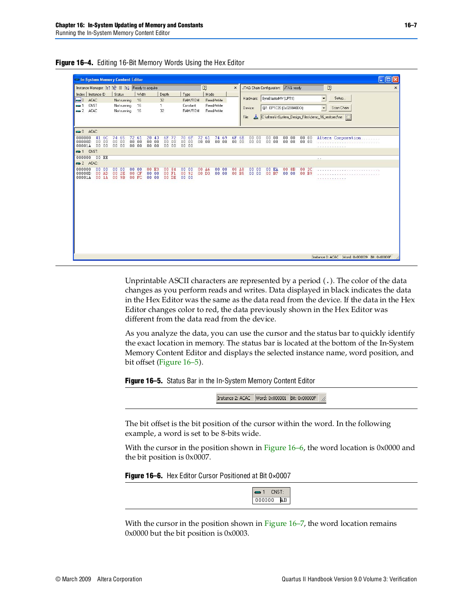| Status<br>Not running      | Width                                                              |                                                 |                   |                                                  |                                                 | $\boxed{2}$                                    |                                 | $\times$                      |                                 |       | JTAG Chain Configuration: JTAG ready |                                                 |                               | $\boxed{2}$                                                                              |
|----------------------------|--------------------------------------------------------------------|-------------------------------------------------|-------------------|--------------------------------------------------|-------------------------------------------------|------------------------------------------------|---------------------------------|-------------------------------|---------------------------------|-------|--------------------------------------|-------------------------------------------------|-------------------------------|------------------------------------------------------------------------------------------|
| Not running<br>Not running | 16<br>16<br>16                                                     |                                                 | Depth<br>32<br>32 | Type<br>RAM/ROM<br>Constant<br>RAM/ROM           |                                                 | Mode<br>Read/Write<br>Read/Write<br>Read/Write |                                 |                               | Hardware:<br>Device:            |       |                                      | ByteBlasterMV [LPT1]<br>@1: EP1C20 (0x020840DD) |                               | Setup<br>Scan Chain                                                                      |
| 74 65<br>0000<br>0000      |                                                                    | 20 43<br>0000<br>0000                           |                   |                                                  |                                                 |                                                |                                 |                               |                                 |       |                                      |                                                 |                               | Altera Corporation<br>a cancancancancancancancanca.                                      |
|                            |                                                                    |                                                 |                   |                                                  |                                                 |                                                |                                 |                               |                                 |       |                                      |                                                 |                               | a con                                                                                    |
| 00<br>2E<br>00 9B          |                                                                    | 0000                                            |                   |                                                  |                                                 |                                                |                                 |                               |                                 |       |                                      |                                                 |                               |                                                                                          |
|                            |                                                                    |                                                 |                   |                                                  |                                                 |                                                |                                 |                               |                                 |       |                                      |                                                 |                               |                                                                                          |
|                            |                                                                    |                                                 |                   |                                                  |                                                 |                                                |                                 |                               |                                 |       |                                      |                                                 |                               |                                                                                          |
|                            | 41 6C<br>0000<br>0000<br>$00$ EE<br>0000<br>0000<br>00 AD<br>00 1A | 72 61<br>0000<br>0000<br>0000<br>00 CF<br>00 FC | 00 E3<br>0000     | 6F 72<br>0000<br>0000<br>00 84<br>00 F1<br>00 DE | 70 6F<br>0000<br>00.00<br>0000<br>00 92<br>0000 |                                                | 72 61<br>0000<br>00 A6<br>00 D3 | 74 69<br>0000<br>0000<br>0000 | 6F 6E<br>0000<br>00 A8<br>00 B5 | File: | 0000<br>0000<br>0000<br>0000         | 0000<br>0000<br>00 EA<br>00 B7                  | 0000<br>0000<br>00 8B<br>0000 | C:\altera\InSystem_Design_Files\demo_16_restored\ne []<br>0000<br>0000<br>00 2C<br>00 B9 |

<span id="page-6-0"></span>**Figure 16–4.** Editing 16-Bit Memory Words Using the Hex Editor

Unprintable ASCII characters are represented by a period (.). The color of the data changes as you perform reads and writes. Data displayed in black indicates the data in the Hex Editor was the same as the data read from the device. If the data in the Hex Editor changes color to red, the data previously shown in the Hex Editor was different from the data read from the device.

As you analyze the data, you can use the cursor and the status bar to quickly identify the exact location in memory. The status bar is located at the bottom of the In-System Memory Content Editor and displays the selected instance name, word position, and bit offset [\(Figure 16–5\)](#page-6-1).

<span id="page-6-1"></span>**Figure 16–5.** Status Bar in the In-System Memory Content Editor

-h

The bit offset is the bit position of the cursor within the word. In the following example, a word is set to be 8-bits wide.

With the cursor in the position shown in [Figure 16–6](#page-6-2), the word location is 0x0000 and the bit position is 0x0007.

<span id="page-6-2"></span>**Figure 16–6.** Hex Editor Cursor Positioned at Bit 0×0007



With the cursor in the position shown in [Figure 16–7,](#page-7-0) the word location remains 0x0000 but the bit position is 0x0003.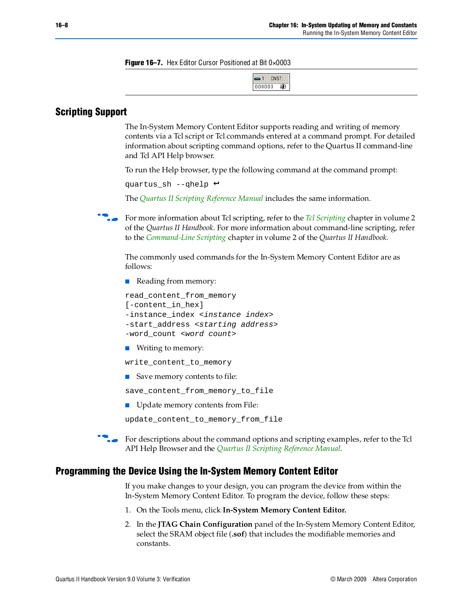<span id="page-7-0"></span>**Figure 16–7.** Hex Editor Cursor Positioned at Bit 0×0003

| CNST:<br><b>TELEVISION</b> |
|----------------------------|
| nnnnn<br>AВ                |

### **Scripting Support**

The In-System Memory Content Editor supports reading and writing of memory contents via a Tcl script or Tcl commands entered at a command prompt. For detailed information about scripting command options, refer to the Quartus II command-line and Tcl API Help browser.

To run the Help browser, type the following command at the command prompt:

```
quartus_sh --qhelp \leftrightarrow
```
The *[Quartus II Scripting Reference Manual](http://www.altera.com/literature/manual/TclScriptRefMnl.pdf)* includes the same information.

**f** For more information about Tcl scripting, refer to the *[Tcl Scripting](http://www.altera.com/literature/hb/qts/qts_qii52003.pdf)* chapter in volume 2 of the *Quartus II Handbook*. For more information about command-line scripting, refer to the *[Command-Line Scripting](http://www.altera.com/literature/hb/qts/qts_qii52002.pdf)* chapter in volume 2 of the *Quartus II Handbook*.

The commonly used commands for the In-System Memory Content Editor are as follows:

■ Reading from memory:

```
read_content_from_memory 
[-content_in_hex] 
-instance_index <instance index>
-start_address <starting address>
-word_count <word count>
```
■ Writing to memory:

write\_content\_to\_memory

■ Save memory contents to file:

save content from memory to file

■ Update memory contents from File:

update\_content\_to\_memory\_from\_file

For descriptions about the command options and scripting examples, refer to the Tcl API Help Browser and the *[Quartus II Scripting Reference Manual](http://www.altera.com/literature/manual/TclScriptRefMnl.pdf)*.

#### **Programming the Device Using the In-System Memory Content Editor**

If you make changes to your design, you can program the device from within the In-System Memory Content Editor. To program the device, follow these steps:

- 1. On the Tools menu, click **In-System Memory Content Editor.**
- 2. In the **JTAG Chain Configuration** panel of the In-System Memory Content Editor, select the SRAM object file (**.sof**) that includes the modifiable memories and constants.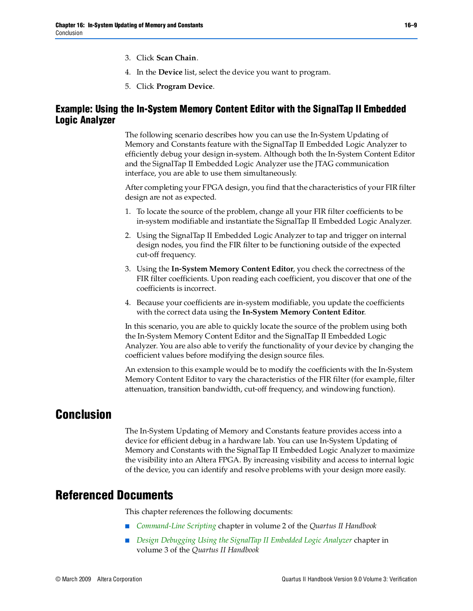- 3. Click **Scan Chain**.
- 4. In the **Device** list, select the device you want to program.
- 5. Click **Program Device**.

### **Example: Using the In-System Memory Content Editor with the SignalTap II Embedded Logic Analyzer**

The following scenario describes how you can use the In-System Updating of Memory and Constants feature with the SignalTap II Embedded Logic Analyzer to efficiently debug your design in-system. Although both the In-System Content Editor and the SignalTap II Embedded Logic Analyzer use the JTAG communication interface, you are able to use them simultaneously.

After completing your FPGA design, you find that the characteristics of your FIR filter design are not as expected.

- 1. To locate the source of the problem, change all your FIR filter coefficients to be in-system modifiable and instantiate the SignalTap II Embedded Logic Analyzer.
- 2. Using the SignalTap II Embedded Logic Analyzer to tap and trigger on internal design nodes, you find the FIR filter to be functioning outside of the expected cut-off frequency.
- 3. Using the **In-System Memory Content Editor**, you check the correctness of the FIR filter coefficients. Upon reading each coefficient, you discover that one of the coefficients is incorrect.
- 4. Because your coefficients are in-system modifiable, you update the coefficients with the correct data using the **In-System Memory Content Editor**.

In this scenario, you are able to quickly locate the source of the problem using both the In-System Memory Content Editor and the SignalTap II Embedded Logic Analyzer. You are also able to verify the functionality of your device by changing the coefficient values before modifying the design source files.

An extension to this example would be to modify the coefficients with the In-System Memory Content Editor to vary the characteristics of the FIR filter (for example, filter attenuation, transition bandwidth, cut-off frequency, and windowing function).

### **Conclusion**

The In-System Updating of Memory and Constants feature provides access into a device for efficient debug in a hardware lab. You can use In-System Updating of Memory and Constants with the SignalTap II Embedded Logic Analyzer to maximize the visibility into an Altera FPGA. By increasing visibility and access to internal logic of the device, you can identify and resolve problems with your design more easily.

### **Referenced Documents**

This chapter references the following documents:

- *[Command-Line Scripting](http://www.altera.com/literature/hb/qts/qts_qii52002.pdf)* chapter in volume 2 of the *Quartus II Handbook*
- *[Design Debugging Using the SignalTap II Embedded Logic Analyzer](http://www.altera.com/literature/hb/qts/qts_qii53009.pdf)* chapter in volume 3 of the *Quartus II Handbook*